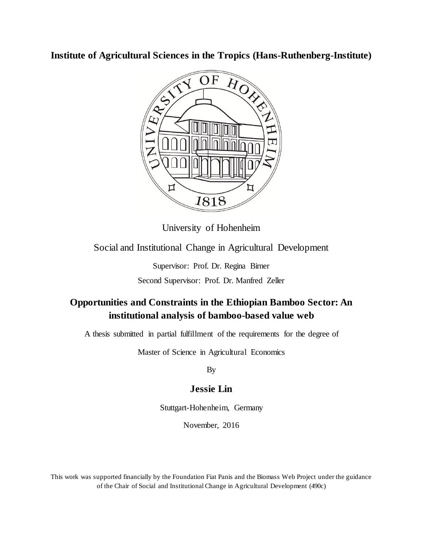**Institute of Agricultural Sciences in the Tropics (Hans-Ruthenberg-Institute)**



University of Hohenheim

Social and Institutional Change in Agricultural Development

Supervisor: Prof. Dr. Regina Birner Second Supervisor: Prof. Dr. Manfred Zeller

## **Opportunities and Constraints in the Ethiopian Bamboo Sector: An institutional analysis of bamboo-based value web**

A thesis submitted in partial fulfillment of the requirements for the degree of

Master of Science in Agricultural Economics

By

## **Jessie Lin**

Stuttgart-Hohenheim, Germany

November, 2016

This work was supported financially by the Foundation Fiat Panis and the Biomass Web Project under the guidance of the Chair of Social and Institutional Change in Agricultural Development (490c)